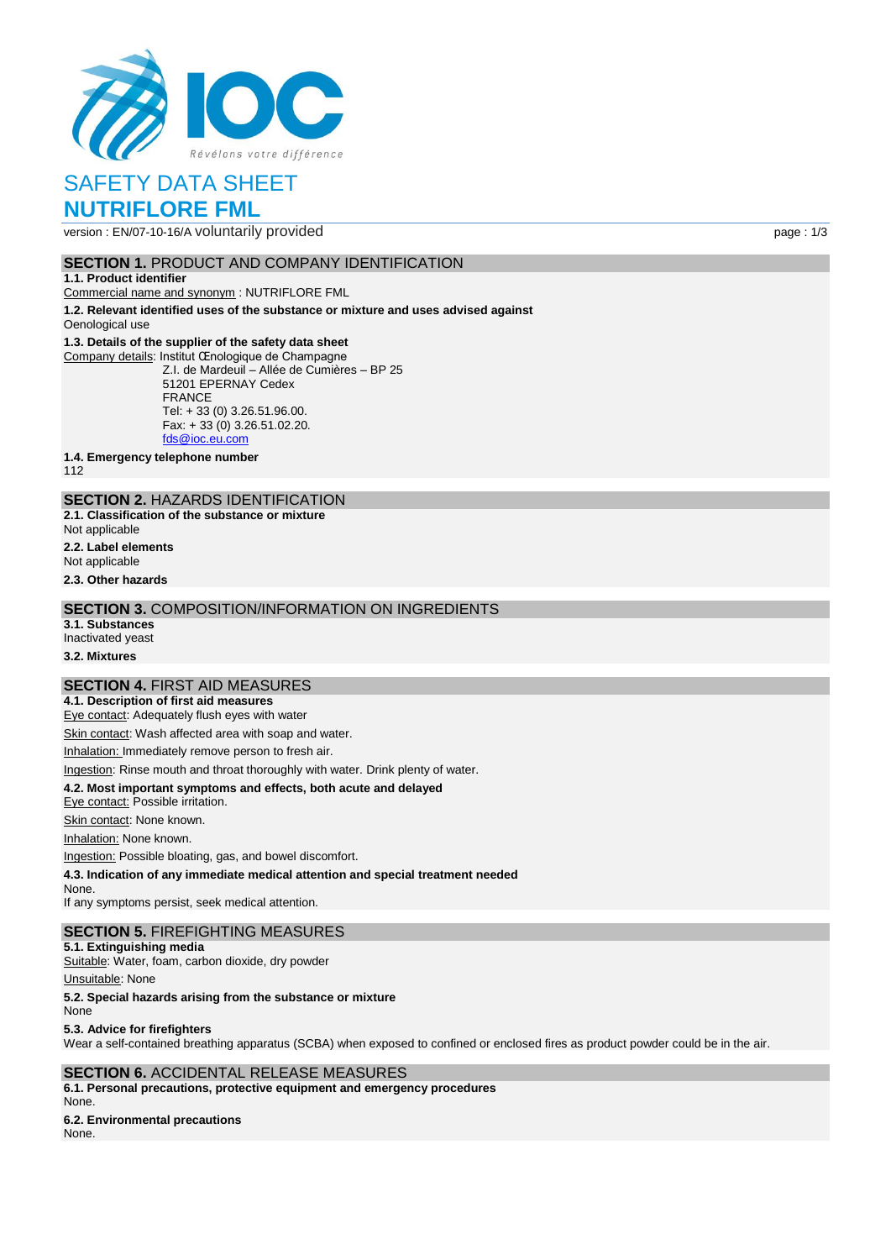

version : EN/07-10-16/A voluntarily provided page : 1/3

## **SECTION 1. PRODUCT AND COMPANY IDENTIFICATION**

**1.1. Product identifier**

Commercial name and synonym : NUTRIFLORE FML

**1.2. Relevant identified uses of the substance or mixture and uses advised against** Oenological use

#### **1.3. Details of the supplier of the safety data sheet**

Company details: Institut Œnologique de Champagne Z.I. de Mardeuil – Allée de Cumières – BP 25 51201 EPERNAY Cedex FRANCE Tel: + 33 (0) 3.26.51.96.00. Fax:  $+33(0)3.26.51.02.20$ . [fds@ioc.eu.com](mailto:fds@ioc.eu.com)

**1.4. Emergency telephone number**

112

## **SECTION 2.** HAZARDS IDENTIFICATION

**2.1. Classification of the substance or mixture**

- Not applicable
- **2.2. Label elements**
- Not applicable

**2.3. Other hazards**

## **SECTION 3.** COMPOSITION/INFORMATION ON INGREDIENTS

**3.1. Substances** Inactivated yeast

**3.2. Mixtures**

## **SECTION 4.** FIRST AID MEASURES

**4.1. Description of first aid measures**

Eye contact: Adequately flush eyes with water

Skin contact: Wash affected area with soap and water.

Inhalation: Immediately remove person to fresh air.

Ingestion: Rinse mouth and throat thoroughly with water. Drink plenty of water.

### **4.2. Most important symptoms and effects, both acute and delayed**

Eye contact: Possible irritation.

Skin contact: None known.

Inhalation: None known.

Ingestion: Possible bloating, gas, and bowel discomfort.

**4.3. Indication of any immediate medical attention and special treatment needed**

None. If any symptoms persist, seek medical attention.

## **SECTION 5.** FIREFIGHTING MEASURES

**5.1. Extinguishing media** Suitable: Water, foam, carbon dioxide, dry powder

Unsuitable: None

**5.2. Special hazards arising from the substance or mixture**

None

**5.3. Advice for firefighters**

Wear a self-contained breathing apparatus (SCBA) when exposed to confined or enclosed fires as product powder could be in the air.

### **SECTION 6.** ACCIDENTAL RELEASE MEASURES **6.1. Personal precautions, protective equipment and emergency procedures** None.

**6.2. Environmental precautions** None.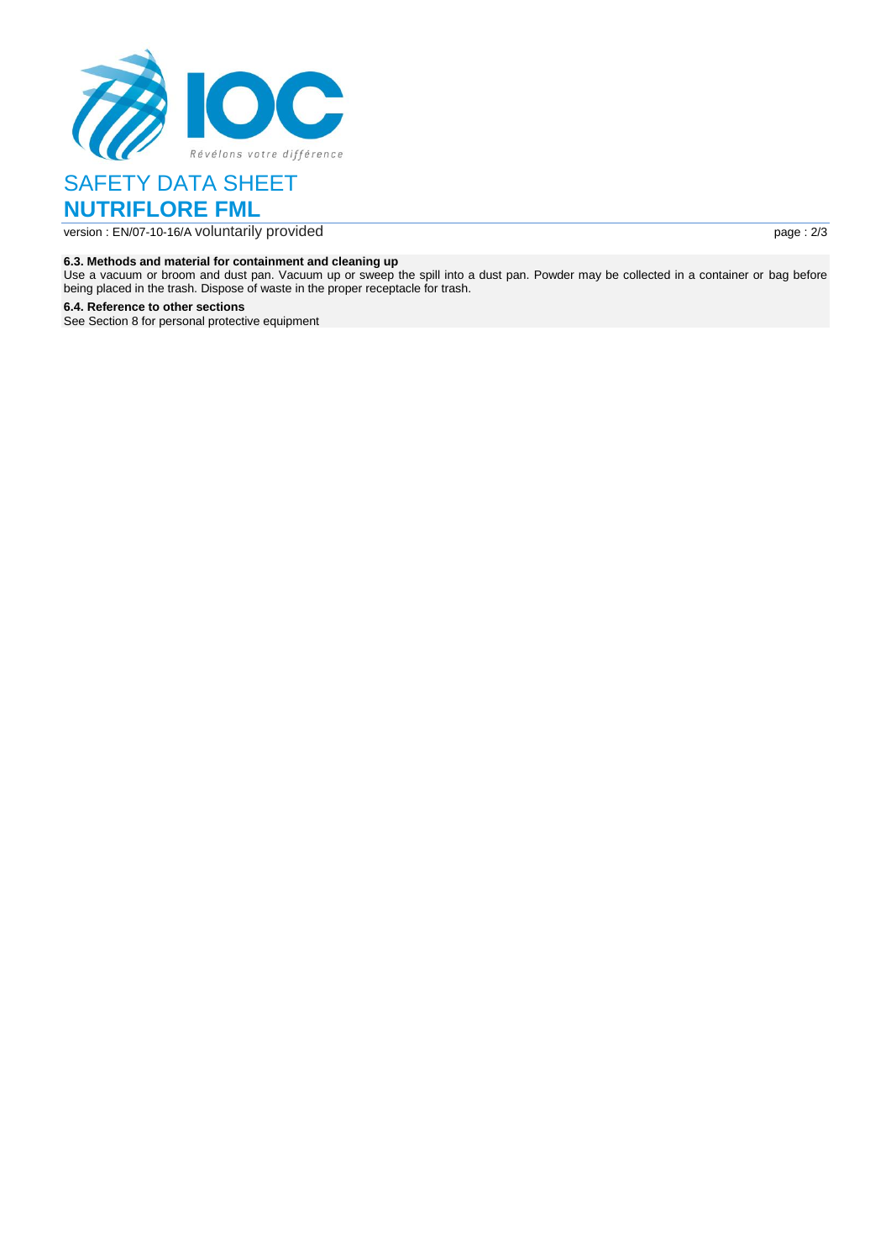

version : EN/07-10-16/A voluntarily provided page : 2/3

#### **6.3. Methods and material for containment and cleaning up**

Use a vacuum or broom and dust pan. Vacuum up or sweep the spill into a dust pan. Powder may be collected in a container or bag before being placed in the trash. Dispose of waste in the proper receptacle for trash.

**6.4. Reference to other sections**

See Section 8 for personal protective equipment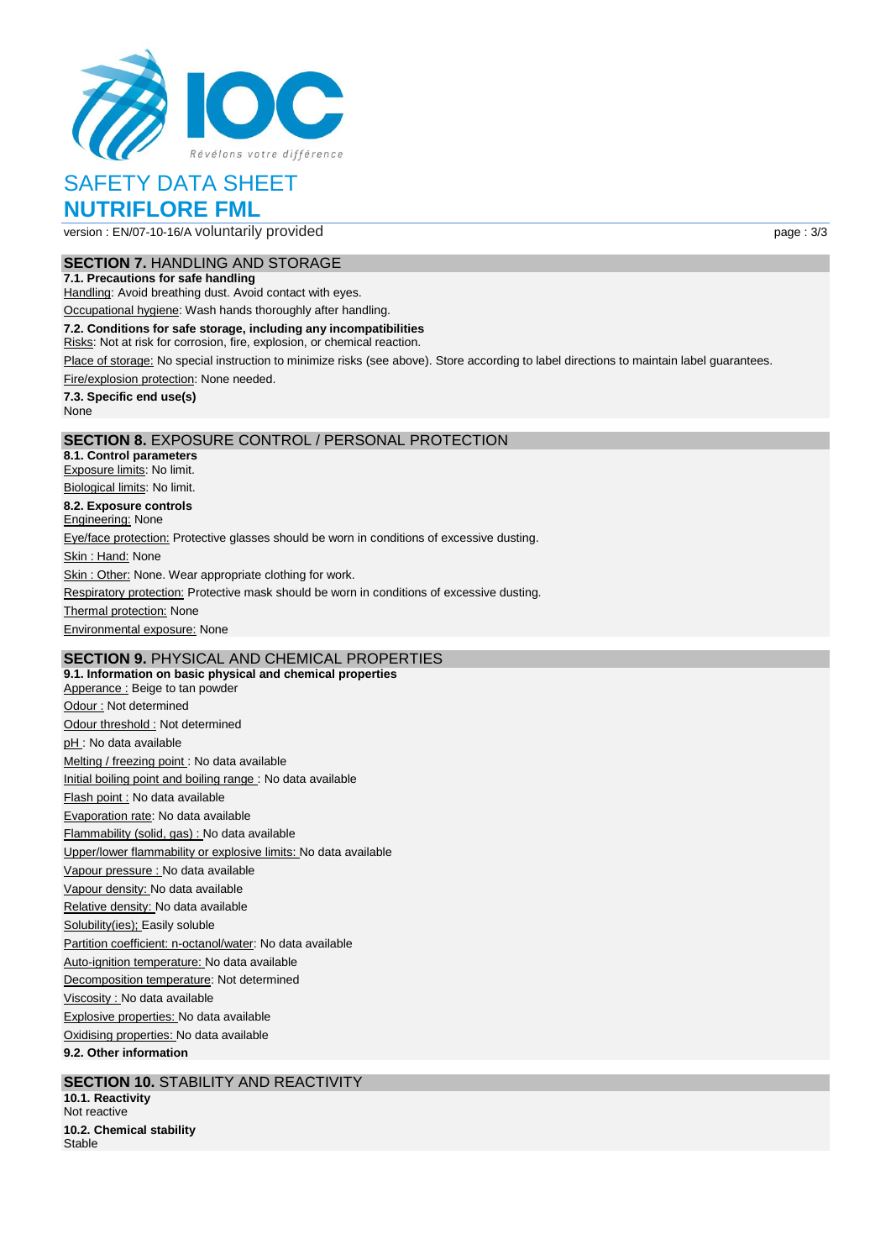

version : EN/07-10-16/A voluntarily provided page : 3/3

## **SECTION 7.** HANDLING AND STORAGE

**7.1. Precautions for safe handling** Handling: Avoid breathing dust. Avoid contact with eyes.

Occupational hygiene: Wash hands thoroughly after handling.

**7.2. Conditions for safe storage, including any incompatibilities**

Risks: Not at risk for corrosion, fire, explosion, or chemical reaction.

Place of storage: No special instruction to minimize risks (see above). Store according to label directions to maintain label guarantees.

Fire/explosion protection: None needed.

**7.3. Specific end use(s)** None

## **SECTION 8.** EXPOSURE CONTROL / PERSONAL PROTECTION

**8.1. Control parameters** Exposure limits: No limit. Biological limits: No limit. **8.2. Exposure controls Engineering: None** Eye/face protection: Protective glasses should be worn in conditions of excessive dusting. Skin: Hand: None Skin : Other: None. Wear appropriate clothing for work. Respiratory protection: Protective mask should be worn in conditions of excessive dusting. **Thermal protection: None** Environmental exposure: None

## **SECTION 9.** PHYSICAL AND CHEMICAL PROPERTIES

**9.1. Information on basic physical and chemical properties** Apperance : Beige to tan powder Odour : Not determined Odour threshold : Not determined pH : No data available Melting / freezing point : No data available Initial boiling point and boiling range : No data available Flash point : No data available Evaporation rate: No data available Flammability (solid, gas) : No data available Upper/lower flammability or explosive limits: No data available Vapour pressure : No data available Vapour density: No data available Relative density: No data available Solubility(ies); Easily soluble Partition coefficient: n-octanol/water: No data available Auto-ignition temperature: No data available Decomposition temperature: Not determined Viscosity : No data available Explosive properties: No data available Oxidising properties: No data available **9.2. Other information**

## **SECTION 10. STABILITY AND REACTIVITY**

**10.1. Reactivity** Not reactive **10.2. Chemical stability Stable**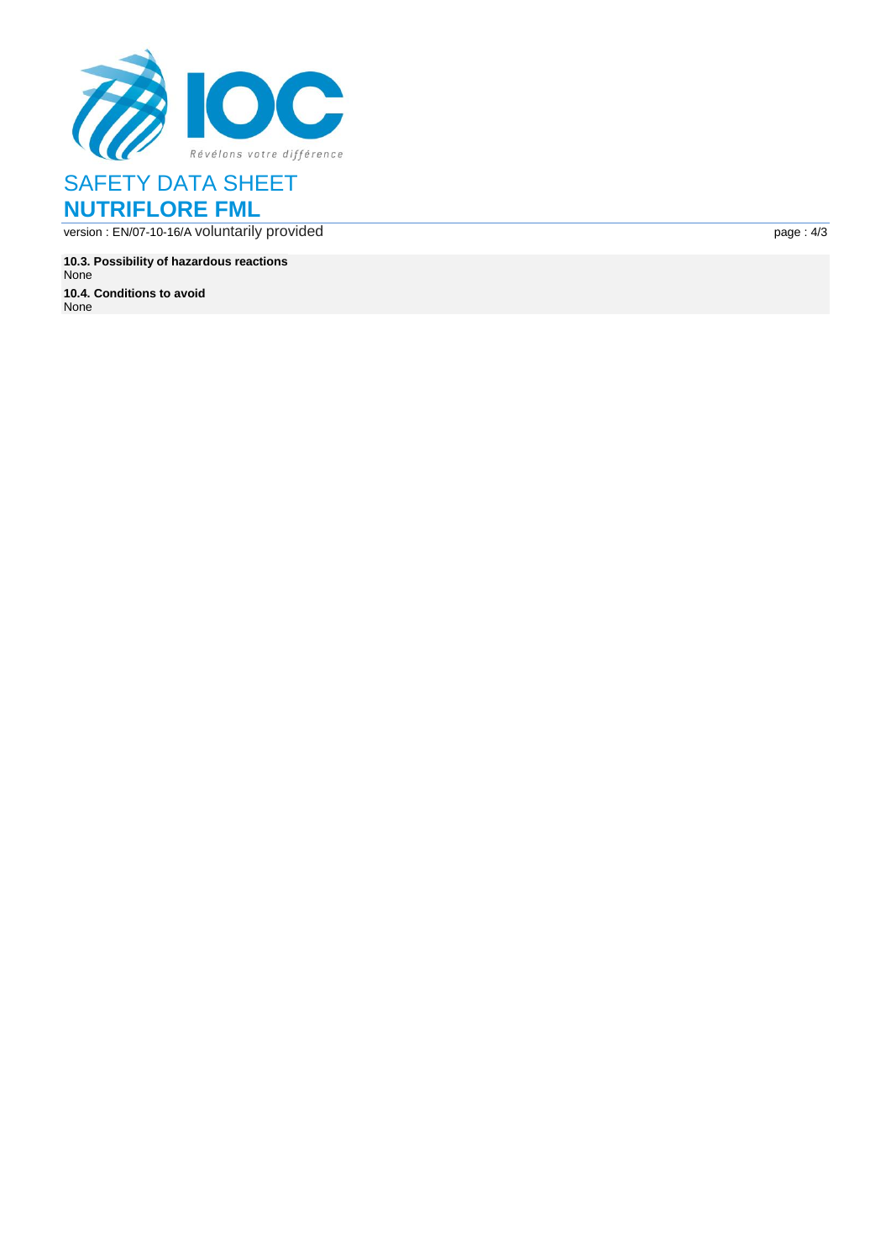

version : EN /07 -10 -16 / A voluntarily provided page :

**10.3. Possibility of hazardous reactions** None **10.4. Conditions to avoid** None

page: 4/3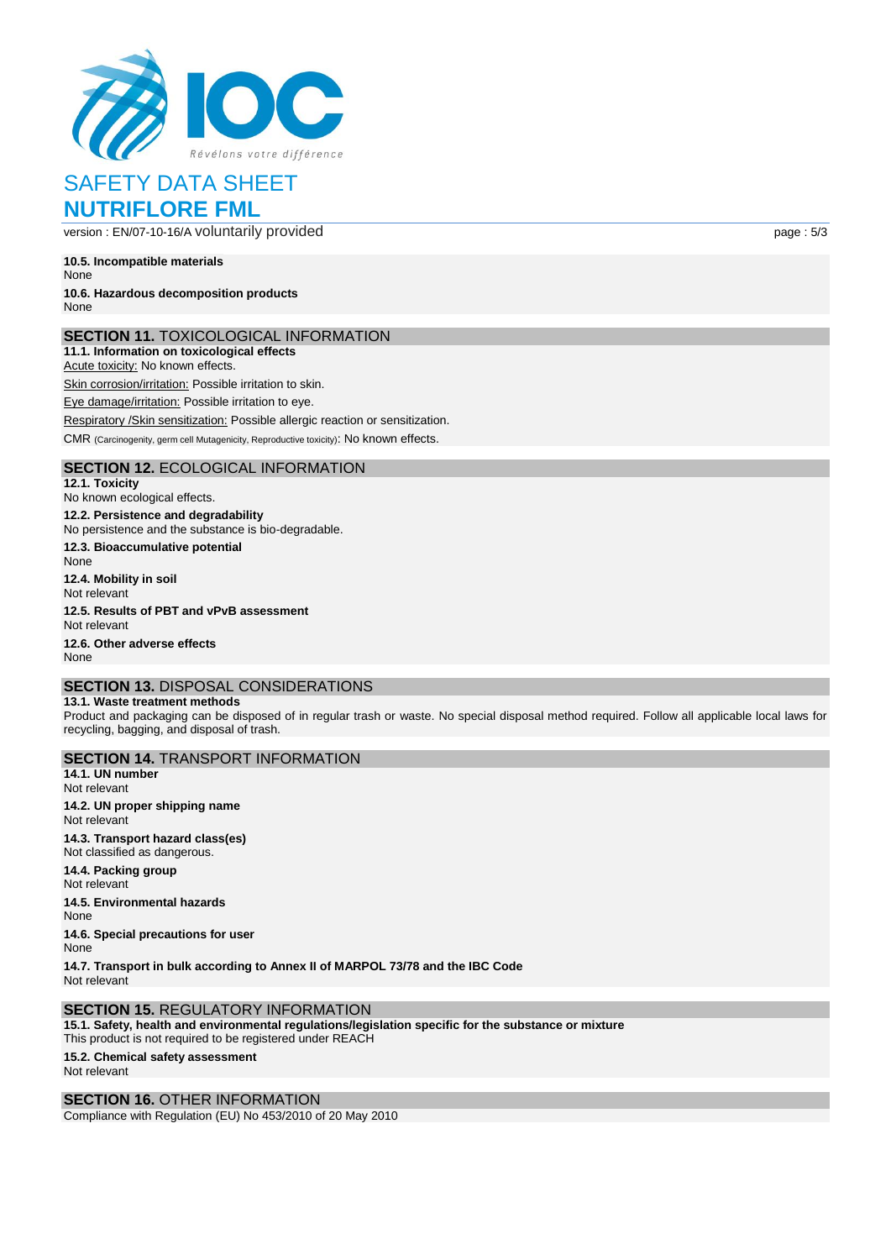

version : EN/07-10-16/A voluntarily provided page : 5/3

**10.5. Incompatible materials** None

#### **10.6. Hazardous decomposition products** None

## **SECTION 11.** TOXICOLOGICAL INFORMATION

**11.1. Information on toxicological effects**

Acute toxicity: No known effects. Skin corrosion/irritation: Possible irritation to skin.

Eye damage/irritation: Possible irritation to eye.

Respiratory /Skin sensitization: Possible allergic reaction or sensitization. CMR (Carcinogenity, germ cell Mutagenicity, Reproductive toxicity): No known effects.

## **SECTION 12.** ECOLOGICAL INFORMATION

**12.1. Toxicity** No known ecological effects. **12.2. Persistence and degradability** No persistence and the substance is bio-degradable. **12.3. Bioaccumulative potential**

None **12.4. Mobility in soil** Not relevant **12.5. Results of PBT and vPvB assessment** Not relevant

**12.6. Other adverse effects** None

#### **SECTION 13.** DISPOSAL CONSIDERATIONS **13.1. Waste treatment methods**

Product and packaging can be disposed of in regular trash or waste. No special disposal method required. Follow all applicable local laws for recycling, bagging, and disposal of trash.

## **SECTION 14.** TRANSPORT INFORMATION **14.1. UN number** Not relevant **14.2. UN proper shipping name** Not relevant

**14.3. Transport hazard class(es)** Not classified as dangerous. **14.4. Packing group** Not relevant **14.5. Environmental hazards**

None

**14.6. Special precautions for user** None

**14.7. Transport in bulk according to Annex II of MARPOL 73/78 and the IBC Code** Not relevant

## **SECTION 15.** REGULATORY INFORMATION

**15.1. Safety, health and environmental regulations/legislation specific for the substance or mixture**

This product is not required to be registered under REACH **15.2. Chemical safety assessment** Not relevant

## **SECTION 16.** OTHER INFORMATION

Compliance with Regulation (EU) No 453/2010 of 20 May 2010